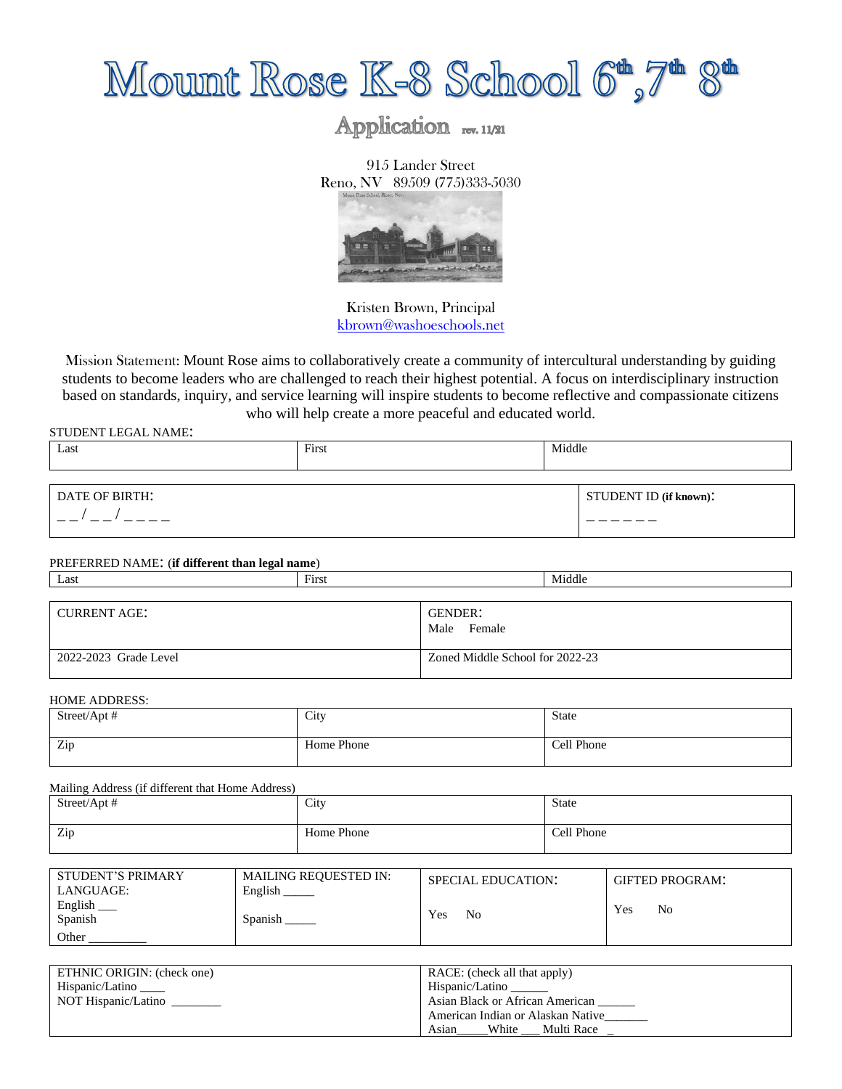

# Application rev. 11/21

915 Lander Street Reno, NV 89509 (775)333-5030



Kristen Brown, Principal [kbrown@washoeschools.net](mailto:kbrown@washoeschools.net)

Mission Statement: Mount Rose aims to collaboratively create a community of intercultural understanding by guiding students to become leaders who are challenged to reach their highest potential. A focus on interdisciplinary instruction based on standards, inquiry, and service learning will inspire students to become reflective and compassionate citizens who will help create a more peaceful and educated world.

STUDENT LEGAL NAME:

| $\sim$<br>Last | First | Middle |                        |
|----------------|-------|--------|------------------------|
|                |       |        |                        |
| DATE OF BIRTH: |       |        | STUDENT ID (if known): |
|                |       |        |                        |

#### PREFERRED NAME: (**if different than legal name**)

| Last                  | First |                                 | Middle |
|-----------------------|-------|---------------------------------|--------|
|                       |       |                                 |        |
| <b>CURRENT AGE:</b>   |       | GENDER:<br>Female<br>Male       |        |
| 2022-2023 Grade Level |       | Zoned Middle School for 2022-23 |        |

#### HOME ADDRESS:

| Street/Apt # | City       | State      |
|--------------|------------|------------|
| Zip          | Home Phone | Cell Phone |

Mailing Address (if different that Home Address)

| Street/Apt # | City       | State<br>. |
|--------------|------------|------------|
| Zip          | Home Phone | Cell Phone |

| STUDENT'S PRIMARY<br>LANGUAGE: | <b>MAILING REQUESTED IN:</b><br>English | <b>SPECIAL EDUCATION:</b> | <b>GIFTED PROGRAM:</b> |
|--------------------------------|-----------------------------------------|---------------------------|------------------------|
| English<br>Spanish             | Spanish                                 | <b>Yes</b><br>No          | Yes<br>No              |
| Other                          |                                         |                           |                        |

| ETHNIC ORIGIN: (check one) | RACE: (check all that apply)      |  |
|----------------------------|-----------------------------------|--|
| Hispanic/Latino            | Hispanic/Latino                   |  |
| NOT Hispanic/Latino        | Asian Black or African American   |  |
|                            | American Indian or Alaskan Native |  |
|                            | White<br>Multi Race<br>Asıan      |  |